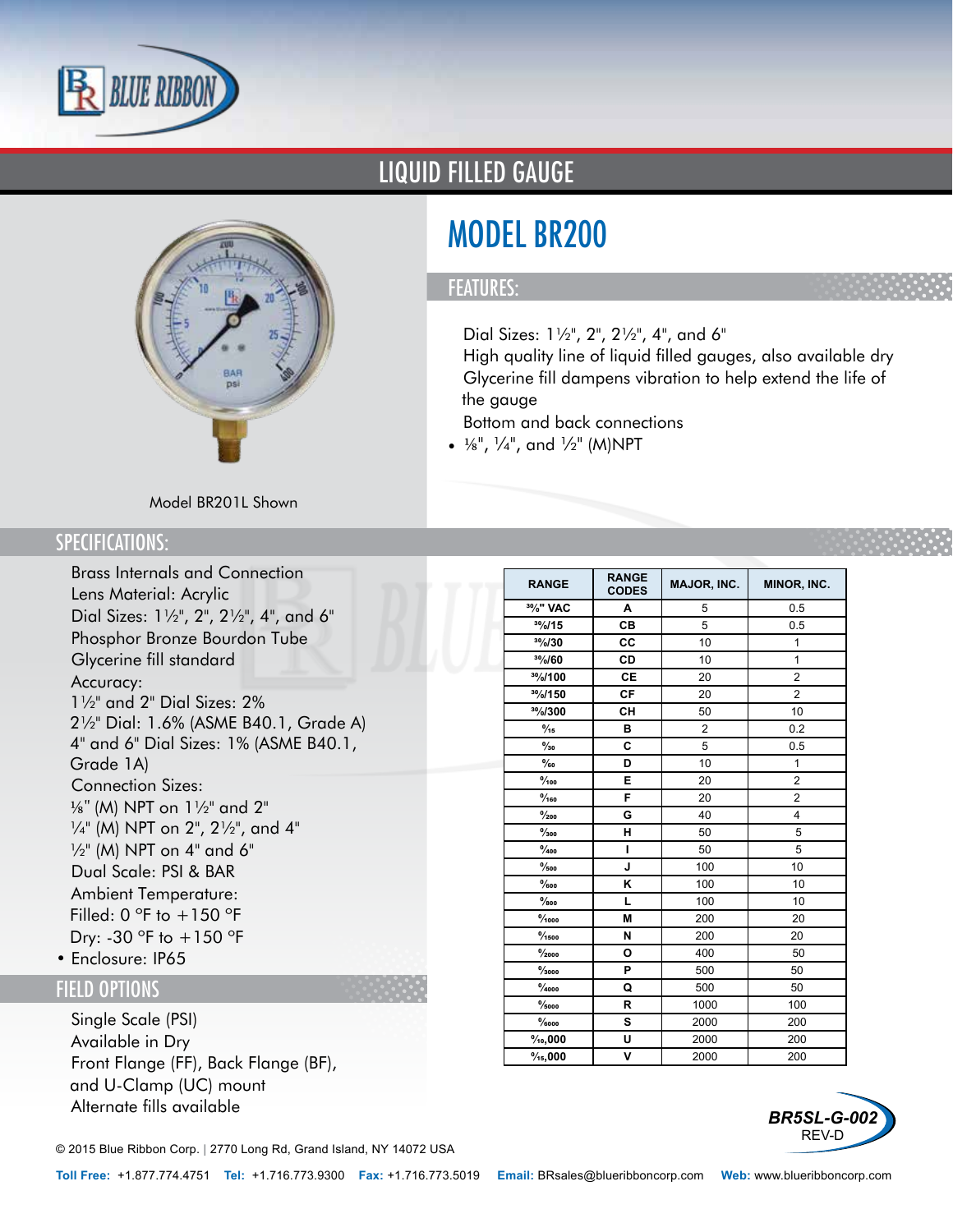



# LIQUID FILLED GAUGE

# MODEL BR200

#### FEATURES:

- Dial Sizes: 1½", 2", 2½", 4", and 6"
- High quality line of liquid filled gauges, also available dry
- Glycerine fill dampens vibration to help extend the life of the gauge
- Bottom and back connections
- $\frac{1}{8}$ ",  $\frac{1}{4}$ ", and  $\frac{1}{2}$ " (M)NPT

### Model BR201L Shown

### SPECIFICATIONS:

- Brass Internals and Connection
- Lens Material: Acrylic
- Dial Sizes: 1½", 2", 2½", 4", and 6"
- Phosphor Bronze Bourdon Tube
- Glycerine fill standard
- Accuracy:
- 1½" and 2" Dial Sizes: 2% 2½" Dial: 1.6% (ASME B40.1, Grade A) 4" and 6" Dial Sizes: 1% (ASME B40.1, Grade 1A)
- Connection Sizes: 1/8" (M) NPT on 1½" and 2" ¼" (M) NPT on 2", 2½", and 4"  $\frac{1}{2}$ " (M) NPT on 4" and 6"
- Dual Scale: PSI & BAR
- Ambient Temperature: Filled: 0  $\degree$ F to +150  $\degree$ F Dry: -30  $\degree$ F to  $+150 \degree$ F
- Enclosure: IP65

### FIELD OPTIONS

- Single Scale (PSI)
- Available in Dry
- Front Flange (FF), Back Flange (BF), and U-Clamp (UC) mount
- Alternate fills available

© 2015 Blue Ribbon Corp. *<sup>|</sup>* 2770 Long Rd, Grand Island, NY 14072 USA

| <b>RANGE</b>                       | <b>RANGE</b><br><b>CODES</b> | <b>MAJOR, INC.</b> | MINOR, INC.    |  |
|------------------------------------|------------------------------|--------------------|----------------|--|
| <sup>30</sup> / <sub>0</sub> " VAC | A                            | 5                  | 0.5            |  |
| 30/0/15                            | CВ                           | 5                  | 0.5            |  |
| 30/0/30                            | CC                           | 10                 | $\mathbf{1}$   |  |
| 30/60                              | CD                           | 10                 | 1              |  |
| 30/100                             | CE                           | 20                 | $\overline{2}$ |  |
| 30/150                             | CF                           | 20                 | $\overline{2}$ |  |
| 30/0/300                           | CН                           | 50                 | 10             |  |
| $\frac{9}{15}$                     | в                            | $\overline{2}$     | 0.2            |  |
| $\frac{0}{30}$                     | C                            | 5                  | 0.5            |  |
| $\frac{0}{60}$                     | D                            | 10                 | $\overline{1}$ |  |
| $\frac{9}{100}$                    | Е                            | 20                 | $\overline{c}$ |  |
| $\frac{9}{160}$                    | F                            | 20                 | $\overline{c}$ |  |
| $\frac{0}{200}$                    | G                            | 40                 | 4              |  |
| $\frac{9}{300}$                    | н                            | 50                 | 5              |  |
| $\frac{0}{400}$                    | $\mathbf{I}$                 | 50                 | 5              |  |
| $\frac{9}{500}$                    | J                            | 100                | 10             |  |
| $\%$ oo                            | Κ                            | 100                | 10             |  |
| $\frac{9}{800}$                    | L                            | 100                | 10             |  |
| $\frac{9}{1000}$                   | М                            | 200                | 20             |  |
| $\frac{9}{1500}$                   | N                            | 200                | 20             |  |
| $\frac{0}{2000}$                   | O                            | 400                | 50             |  |
| $\frac{9}{3000}$                   | P                            | 500                | 50             |  |
| $\frac{9}{4000}$                   | Q                            | 500                | 50             |  |
| $\frac{9}{5000}$                   | R                            | 1000               | 100            |  |
| $\%$ 000                           | S                            | 2000               | 200            |  |
| $\%$ <sub>0</sub> ,000             | U                            | 2000               | 200            |  |
| $\frac{9}{15,000}$                 | V                            | 2000               | 200            |  |